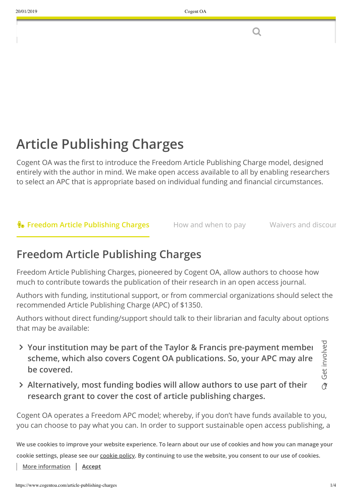O

# **Article Publishing Charges**

Cogent OA was the first to introduce the Freedom Article Publishing Charge model, designed entirely with the author in mind. We make open access available to all by enabling researchers to select an APC that is appropriate based on individual funding and financial circumstances.

## **The Freedom Article Publishing Charges** How and when to pay Waivers and discour

## **Freedom Article Publishing Charges**

Freedom Article Publishing Charges, pioneered by Cogent OA, allow authors to choose how much to contribute towards the publication of their research in an open access journal.

Authors with funding, institutional support, or from commercial organizations should select the recommended Article Publishing Charge (APC) of \$1350.

Authors without direct funding/support should talk to their librarian and faculty about options that may be available:

- $\lambda$  Your institution may be part of the Taylor & Francis pre-payment membeı  $\frac{1}{\lambda}$ **scheme, which also covers Cogent OA publications. So, your APC may alre be covered.**
- $\tilde{\alpha}$ رح et in v olv ed
- **Alternatively, most funding bodies will allow authors to use part of their research grant to cover the cost of article publishing charges.**

Cogent OA operates a Freedom APC model; whereby, if you don't have funds available to you, you can choose to pay what you can. In order to support sustainable open access publishing, a

We use cookies to improve your website experience. To learn about our use of cookies and how you can manage your cookie settings, please see our [cookie policy](https://www.cogentoa.com/cookie-policy/). By continuing to use the website, you consent to our use of cookies.

**[More information](https://www.cogentoa.com/cookie-policy/) | Accept**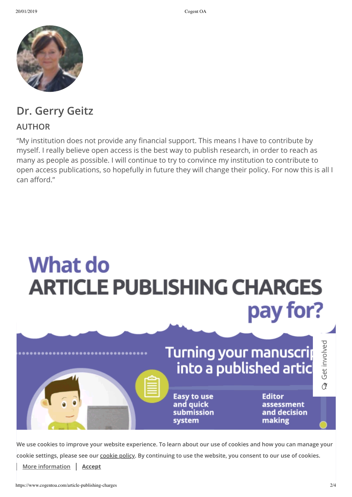

## **Dr. Gerry Geitz**

#### **AUTHOR**

"My institution does not provide any financial support. This means I have to contribute by myself. I really believe open access is the best way to publish research, in order to reach as many as people as possible. I will continue to try to convince my institution to contribute to open access publications, so hopefully in future they will change their policy. For now this is all I can afford."



**We use cookies to improve your website experience. To learn about our use of cookies and how you can manage your cookie settings, please see our [cookie policy](https://www.cogentoa.com/cookie-policy/). By continuing to use the website, you consent to our use of cookies.**

**[More information](https://www.cogentoa.com/cookie-policy/) Accept**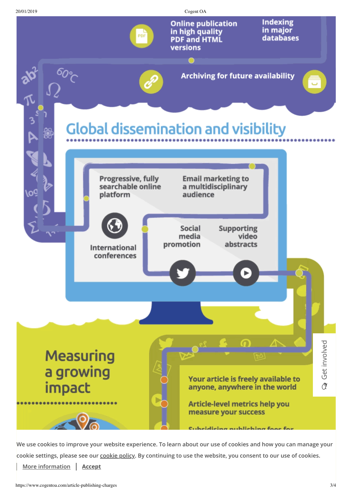

**We use cookies to improve your website experience. To learn about our use of cookies and how you can manage your cookie settings, please see our [cookie policy](https://www.cogentoa.com/cookie-policy/). By continuing to [use the web](https://www.cogentoa.com/)site, you consent to our use of cookies.**

 $C_{\rm{max}}$   $C_{\rm{max}}$   $C_{\rm{max}}$   $C_{\rm{max}}$   $C_{\rm{max}}$   $C_{\rm{max}}$   $C_{\rm{max}}$   $C_{\rm{max}}$ 

**[More information](https://www.cogentoa.com/cookie-policy/) Accept**